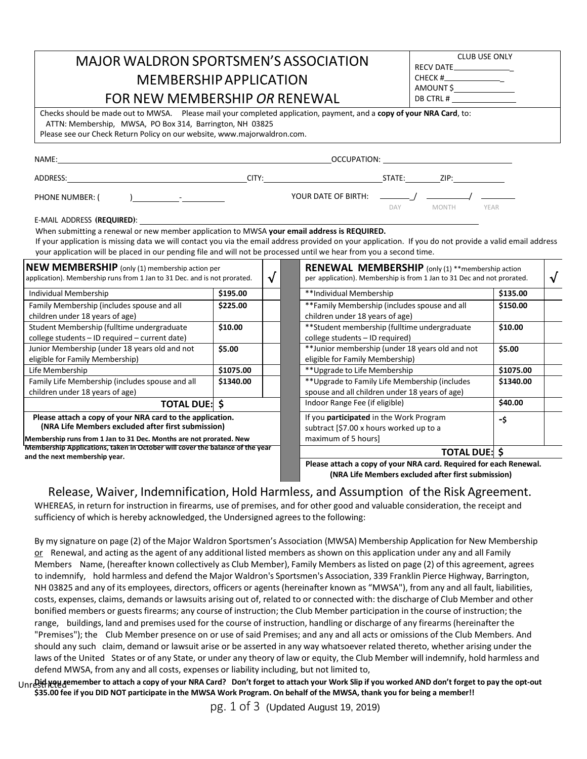| <b>MAJOR WALDRON SPORTSMEN'S ASSOCIATION</b>                                                                                                                                                                                                                                                                                                                                                                                                                                                                       | <b>CLUB USE ONLY</b><br>RECV DATE |           |                                                                                                                                   |                                                                                              |           |           |  |
|--------------------------------------------------------------------------------------------------------------------------------------------------------------------------------------------------------------------------------------------------------------------------------------------------------------------------------------------------------------------------------------------------------------------------------------------------------------------------------------------------------------------|-----------------------------------|-----------|-----------------------------------------------------------------------------------------------------------------------------------|----------------------------------------------------------------------------------------------|-----------|-----------|--|
| <b>MEMBERSHIP APPLICATION</b>                                                                                                                                                                                                                                                                                                                                                                                                                                                                                      | $CHECK$ #__________________       |           |                                                                                                                                   |                                                                                              |           |           |  |
| FOR NEW MEMBERSHIP OR RENEWAL                                                                                                                                                                                                                                                                                                                                                                                                                                                                                      | AMOUNT \$                         |           |                                                                                                                                   |                                                                                              |           |           |  |
| Checks should be made out to MWSA. Please mail your completed application, payment, and a copy of your NRA Card, to:<br>ATTN: Membership, MWSA, PO Box 314, Barrington, NH 03825<br>Please see our Check Return Policy on our website, www.majorwaldron.com.                                                                                                                                                                                                                                                       |                                   |           |                                                                                                                                   |                                                                                              |           |           |  |
|                                                                                                                                                                                                                                                                                                                                                                                                                                                                                                                    |                                   |           |                                                                                                                                   |                                                                                              |           |           |  |
|                                                                                                                                                                                                                                                                                                                                                                                                                                                                                                                    |                                   |           |                                                                                                                                   |                                                                                              |           |           |  |
|                                                                                                                                                                                                                                                                                                                                                                                                                                                                                                                    |                                   |           |                                                                                                                                   | DAY MONTH YEAR                                                                               |           |           |  |
| When submitting a renewal or new member application to MWSA your email address is REQUIRED.<br>If your application is missing data we will contact you via the email address provided on your application. If you do not provide a valid email address<br>your application will be placed in our pending file and will not be processed until we hear from you a second time.<br><b>NEW MEMBERSHIP</b> (only (1) membership action per<br>application). Membership runs from 1 Jan to 31 Dec. and is not prorated. |                                   | $\sqrt{}$ | <b>RENEWAL MEMBERSHIP</b> (only (1) **membership action<br>per application). Membership is from 1 Jan to 31 Dec and not prorated. |                                                                                              |           | $\sqrt{}$ |  |
| Individual Membership                                                                                                                                                                                                                                                                                                                                                                                                                                                                                              | \$195.00                          |           | **Individual Membership                                                                                                           |                                                                                              | \$135.00  |           |  |
| Family Membership (includes spouse and all<br>children under 18 years of age)                                                                                                                                                                                                                                                                                                                                                                                                                                      | \$225.00                          |           | **Family Membership (includes spouse and all<br>children under 18 years of age)                                                   |                                                                                              | \$150.00  |           |  |
| Student Membership (fulltime undergraduate<br>college students - ID required - current date)                                                                                                                                                                                                                                                                                                                                                                                                                       | \$10.00                           |           |                                                                                                                                   | ** Student membership (fulltime undergraduate<br>\$10.00<br>college students - ID required)  |           |           |  |
| Junior Membership (under 18 years old and not<br>eligible for Family Membership)                                                                                                                                                                                                                                                                                                                                                                                                                                   | \$5.00                            |           |                                                                                                                                   | **Junior membership (under 18 years old and not<br>\$5.00<br>eligible for Family Membership) |           |           |  |
| Life Membership                                                                                                                                                                                                                                                                                                                                                                                                                                                                                                    | \$1075.00                         |           |                                                                                                                                   | ** Upgrade to Life Membership<br>\$1075.00                                                   |           |           |  |
| Family Life Membership (includes spouse and all<br>children under 18 years of age)                                                                                                                                                                                                                                                                                                                                                                                                                                 | \$1340.00                         |           | ** Upgrade to Family Life Membership (includes<br>spouse and all children under 18 years of age)                                  |                                                                                              | \$1340.00 |           |  |
| <b>TOTAL DUE: \$</b>                                                                                                                                                                                                                                                                                                                                                                                                                                                                                               |                                   |           | Indoor Range Fee (if eligible)                                                                                                    |                                                                                              | \$40.00   |           |  |
| Please attach a copy of your NRA card to the application.<br>(NRA Life Members excluded after first submission)<br>Membership runs from 1 Jan to 31 Dec. Months are not prorated. New                                                                                                                                                                                                                                                                                                                              |                                   |           | If you participated in the Work Program<br>subtract [\$7.00 x hours worked up to a<br>maximum of 5 hours]                         |                                                                                              | -\$       |           |  |
| Membership Applications, taken in October will cover the balance of the year<br>and the next membership year.                                                                                                                                                                                                                                                                                                                                                                                                      |                                   |           |                                                                                                                                   | <b>TOTAL DUE: \$</b>                                                                         |           |           |  |
|                                                                                                                                                                                                                                                                                                                                                                                                                                                                                                                    |                                   |           |                                                                                                                                   |                                                                                              |           |           |  |

**Please attach a copy of your NRA card. Required for each Renewal. (NRA Life Members excluded after first submission)**

Release, Waiver, Indemnification, Hold Harmless, and Assumption of the Risk Agreement.

WHEREAS, in return for instruction in firearms, use of premises, and for other good and valuable consideration, the receipt and sufficiency of which is hereby acknowledged, the Undersigned agrees to the following:

By my signature on page (2) of the Major Waldron Sportsmen's Association (MWSA) Membership Application for New Membership or Renewal, and acting as the agent of any additional listed members as shown on this application under any and all Family Members Name, (hereafter known collectively as Club Member), Family Members aslisted on page (2) of this agreement, agrees to indemnify, hold harmless and defend the Major Waldron's Sportsmen's Association, 339 Franklin Pierce Highway, Barrington, NH 03825 and any of its employees, directors, officers or agents(hereinafter known as "MWSA"), from any and all fault, liabilities, costs, expenses, claims, demands or lawsuits arising out of, related to or connected with: the discharge of Club Member and other bonified members or guests firearms; any course of instruction; the Club Member participation in the course of instruction; the range, buildings, land and premises used for the course of instruction, handling or discharge of any firearms(hereinafter the "Premises"); the Club Member presence on or use of said Premises; and any and all acts or omissions of the Club Members. And should any such claim, demand or lawsuit arise or be asserted in any way whatsoever related thereto, whether arising under the laws of the United States or of any State, or under any theory of law or equity, the Club Member will indemnify, hold harmless and defend MWSA, from any and all costs, expenses or liability including, but not limited to,

UnreSthit զանգառութեր to attach a copy of your NRA Card? Don't forget to attach your Work Slip if you worked AND don't forget to pay the opt-out \$35.00 fee if you DID NOT participate in the MWSA Work Program. On behalf of the MWSA, thank you for being a member!!

pg. 1 of 3 (Updated August 19, 2019)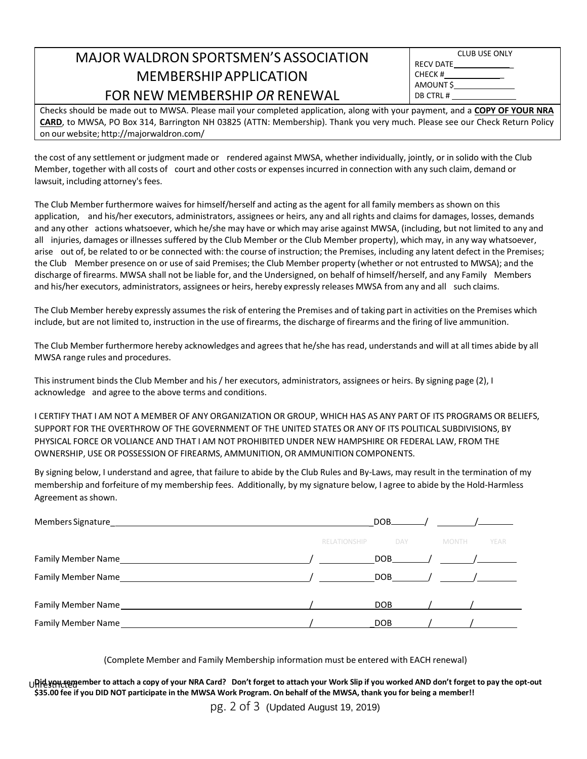## MAJOR WALDRONSPORTSMEN'S ASSOCIATION MEMBERSHIPAPPLICATION FOR NEW MEMBERSHIP *OR* RENEWAL

|           | <b>CLUB USE ONLY</b> |  |
|-----------|----------------------|--|
| RECV DATE |                      |  |
| CHECK #   |                      |  |
| AMOUNT \$ |                      |  |
| DB CTRL # |                      |  |
|           |                      |  |

Checks should be made out to MWSA. Please mail your completed application, along with your payment, and a **COPY OF YOUR NRA CARD**, to MWSA, PO Box 314, Barrington NH 03825 (ATTN: Membership). Thank you very much. Please see our Check Return Policy on our website; <http://majorwaldron.com/>

the cost of any settlement or judgment made or rendered against MWSA, whether individually, jointly, or in solido with the Club Member, together with all costs of court and other costs or expensesincurred in connection with any such claim, demand or lawsuit, including attorney's fees.

The Club Member furthermore waives for himself/herself and acting as the agent for all family members as shown on this application, and his/her executors, administrators, assignees or heirs, any and all rights and claims for damages, losses, demands and any other actions whatsoever, which he/she may have or which may arise against MWSA, (including, but not limited to any and all injuries, damages or illnesses suffered by the Club Member or the Club Member property), which may, in any way whatsoever, arise out of, be related to or be connected with: the course of instruction; the Premises, including any latent defect in the Premises; the Club Member presence on or use of said Premises; the Club Member property (whether or not entrusted to MWSA); and the discharge of firearms. MWSA shall not be liable for, and the Undersigned, on behalf of himself/herself, and any Family Members and his/her executors, administrators, assignees or heirs, hereby expressly releases MWSA from any and all such claims.

The Club Member hereby expressly assumes the risk of entering the Premises and of taking part in activities on the Premises which include, but are not limited to, instruction in the use of firearms, the discharge of firearms and the firing of live ammunition.

The Club Member furthermore hereby acknowledges and agrees that he/she has read, understands and will at all times abide by all MWSA range rules and procedures.

This instrument binds the Club Member and his / her executors, administrators, assignees or heirs. By signing page (2), I acknowledge and agree to the above terms and conditions.

I CERTIFY THAT I AM NOT A MEMBER OF ANY ORGANIZATION OR GROUP, WHICH HAS AS ANY PART OF ITS PROGRAMS OR BELIEFS, SUPPORT FOR THE OVERTHROW OF THE GOVERNMENT OF THE UNITED STATES OR ANY OF ITS POLITICAL SUBDIVISIONS, BY PHYSICAL FORCE OR VOLIANCE AND THAT I AM NOT PROHIBITED UNDER NEW HAMPSHIRE OR FEDERAL LAW, FROM THE OWNERSHIP, USE OR POSSESSION OF FIREARMS, AMMUNITION, OR AMMUNITION COMPONENTS.

By signing below, I understand and agree, that failure to abide by the Club Rules and By-Laws, may result in the termination of my membership and forfeiture of my membership fees. Additionally, by my signature below, I agree to abide by the Hold-Harmless Agreement as shown.

|                                                                                                               |                     | DOB | $\frac{\gamma}{\gamma}$ / $\frac{\gamma}{\gamma}$ / $\frac{\gamma}{\gamma}$ / $\frac{\gamma}{\gamma}$ / $\frac{\gamma}{\gamma}$ / $\frac{\gamma}{\gamma}$ / $\frac{\gamma}{\gamma}$ / $\frac{\gamma}{\gamma}$ / $\frac{\gamma}{\gamma}$ / $\frac{\gamma}{\gamma}$ / $\frac{\gamma}{\gamma}$ / $\frac{\gamma}{\gamma}$ / $\frac{\gamma}{\gamma}$ / $\frac{\gamma}{\gamma}$ / $\frac{\gamma}{\gamma}$ / $\frac{\gamma}{\gamma}$ / $\frac{\gamma}{\gamma}$ / |
|---------------------------------------------------------------------------------------------------------------|---------------------|-----|-----------------------------------------------------------------------------------------------------------------------------------------------------------------------------------------------------------------------------------------------------------------------------------------------------------------------------------------------------------------------------------------------------------------------------------------------------------|
|                                                                                                               | <b>RELATIONSHIP</b> | DAY | <b>MONTH</b><br>YEAR                                                                                                                                                                                                                                                                                                                                                                                                                                      |
|                                                                                                               |                     |     | $DOB$ / /                                                                                                                                                                                                                                                                                                                                                                                                                                                 |
|                                                                                                               |                     |     | $DOB$ / /                                                                                                                                                                                                                                                                                                                                                                                                                                                 |
|                                                                                                               |                     |     | $DOB$ / /                                                                                                                                                                                                                                                                                                                                                                                                                                                 |
| Family Member Name Lawrence and Communications of the Communication of the Communication of the Communication |                     | DOB |                                                                                                                                                                                                                                                                                                                                                                                                                                                           |

(Complete Member and Family Membership information must be entered with EACH renewal)

UHIC yAH-t@gember to attach a copy of your NRA Card? Don't forget to attach your Work Slip if you worked AND don't forget to pay the opt-out \$35.00 fee if you DID NOT participate in the MWSA Work Program. On behalf of the MWSA, thank you for being a member!!

pg. 2 of 3 (Updated August 19, 2019)